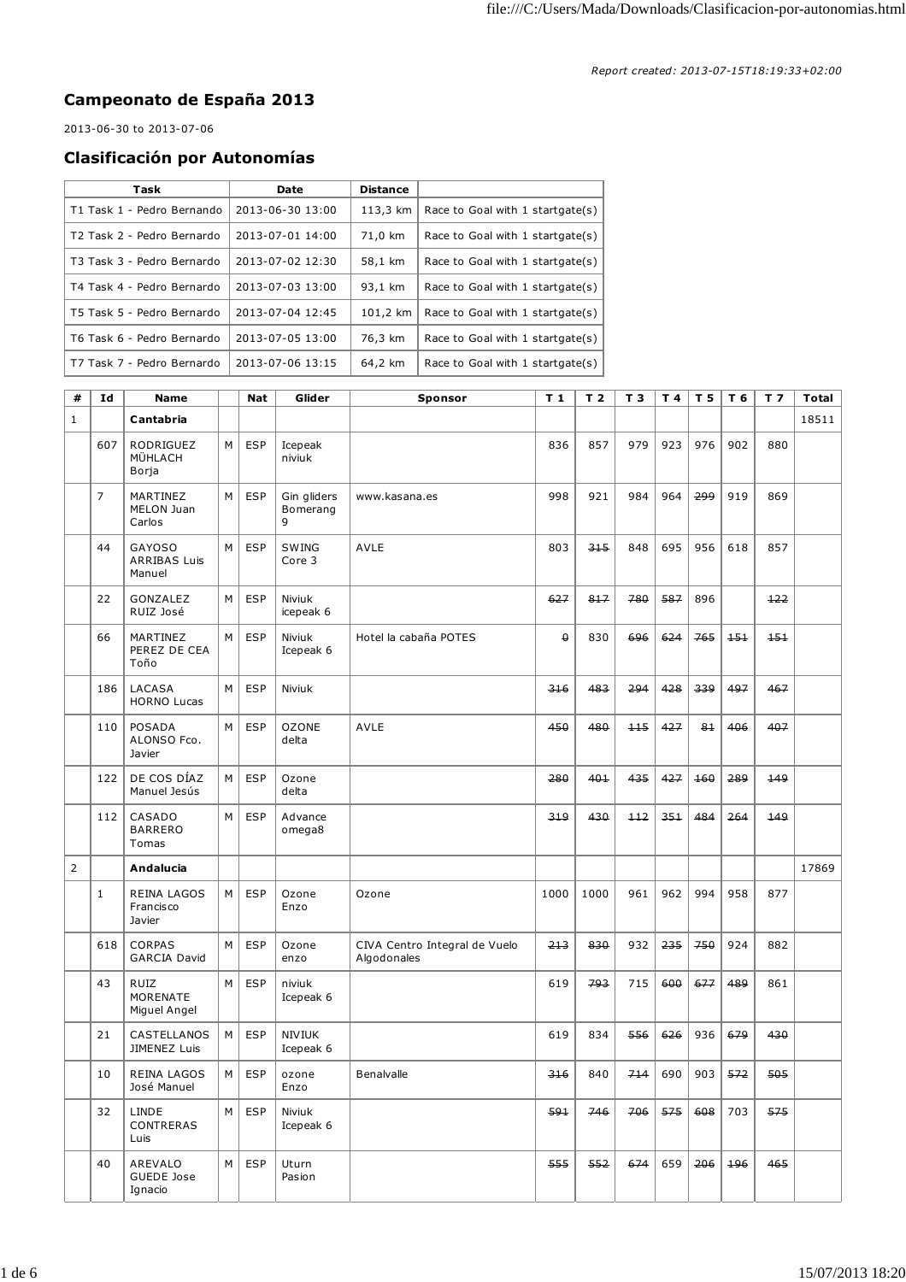## **Campeonato de España 2013**

2013-06-30 to 2013-07-06

## **Clasificación por Autonomías**

| Task                       | Date             | <b>Distance</b> |                                  |
|----------------------------|------------------|-----------------|----------------------------------|
| T1 Task 1 - Pedro Bernando | 2013-06-30 13:00 | 113,3 km        | Race to Goal with 1 startgate(s) |
| T2 Task 2 - Pedro Bernardo | 2013-07-01 14:00 | 71,0 km         | Race to Goal with 1 startgate(s) |
| T3 Task 3 - Pedro Bernardo | 2013-07-02 12:30 | 58,1 km         | Race to Goal with 1 startgate(s) |
| T4 Task 4 - Pedro Bernardo | 2013-07-03 13:00 | 93,1 km         | Race to Goal with 1 startgate(s) |
| T5 Task 5 - Pedro Bernardo | 2013-07-04 12:45 | 101.2 km        | Race to Goal with 1 startgate(s) |
| T6 Task 6 - Pedro Bernardo | 2013-07-05 13:00 | 76,3 km         | Race to Goal with 1 startgate(s) |
| T7 Task 7 - Pedro Bernardo | 2013-07-06 13:15 | 64,2 km         | Race to Goal with 1 startgate(s) |

| #              | Id             | <b>Name</b>                                    |   | <b>Nat</b> | Glider                       | <b>Sponsor</b>                               | T <sub>1</sub> | T <sub>2</sub> | T <sub>3</sub>        | T 4         | T 5  | T 6 | T <sub>7</sub> | <b>Total</b> |
|----------------|----------------|------------------------------------------------|---|------------|------------------------------|----------------------------------------------|----------------|----------------|-----------------------|-------------|------|-----|----------------|--------------|
| $\mathbf{1}$   |                | Cantabria                                      |   |            |                              |                                              |                |                |                       |             |      |     |                | 18511        |
|                | 607            | <b>RODRIGUEZ</b><br>MÜHLACH<br>Borja           | M | <b>ESP</b> | Icepeak<br>niviuk            |                                              | 836            | 857            | 979                   | 923         | 976  | 902 | 880            |              |
|                | $\overline{7}$ | MARTINEZ<br>MELON Juan<br>Carlos               | М | <b>ESP</b> | Gin gliders<br>Bomerang<br>9 | www.kasana.es                                | 998            | 921            | 984                   | 964         | ووج  | 919 | 869            |              |
|                | 44             | <b>GAYOSO</b><br><b>ARRIBAS Luis</b><br>Manuel | M | <b>ESP</b> | SWING<br>Core 3              | AVLE                                         | 803            | 315            | 848                   | 695         | 956  | 618 | 857            |              |
|                | 22             | GONZALEZ<br>RUIZ José                          | M | <b>ESP</b> | Niviuk<br>icepeak 6          |                                              | 627            | 817            | 780                   | 587         | 896  |     | $+22$          |              |
|                | 66             | MARTINEZ<br>PEREZ DE CEA<br>Toño               | М | <b>ESP</b> | Niviuk<br>Icepeak 6          | Hotel la cabaña POTES                        | $\theta$       | 830            | 696                   | 624         | 765  | 151 | 151            |              |
|                | 186            | <b>LACASA</b><br><b>HORNO Lucas</b>            | M | <b>ESP</b> | Niviuk                       |                                              | 316            | 483            | 294                   | 428         | 339  | 497 | 467            |              |
|                | 110            | POSADA<br>ALONSO Fco.<br>Javier                | M | <b>ESP</b> | <b>OZONE</b><br>delta        | AVLE                                         | 450            | 480            | 115                   | 427         | $8+$ | 406 | 407            |              |
|                | 122            | DE COS DÍAZ<br>Manuel Jesús                    | M | <b>ESP</b> | Ozone<br>delta               |                                              | 280            | 401            | 435                   | 427         | 160  | 289 | 149            |              |
|                | 112            | CASADO<br><b>BARRERO</b><br>Tomas              | M | <b>ESP</b> | Advance<br>omega8            |                                              | 319            | 430            | $+12$                 | 351         | 484  | 264 | 149            |              |
| $\overline{2}$ |                | Andalucia                                      |   |            |                              |                                              |                |                |                       |             |      |     |                | 17869        |
|                | $\mathbf{1}$   | <b>REINA LAGOS</b><br>Francisco<br>Javier      | м | <b>ESP</b> | Ozone<br>Enzo                | Ozone                                        | 1000           | 1000           | 961                   | 962         | 994  | 958 | 877            |              |
|                | 618            | <b>CORPAS</b><br><b>GARCIA David</b>           | М | <b>ESP</b> | Ozone<br>enzo                | CIVA Centro Integral de Vuelo<br>Algodonales | 213            | 830            | 932                   | 235         | 750  | 924 | 882            |              |
|                | 43             | <b>RUIZ</b><br>MORENATE<br>Miguel Angel        | M | <b>ESP</b> | niviuk<br>Icepeak 6          |                                              | 619            | 793            | 715                   | 600         | 677  | 489 | 861            |              |
|                | 21             | CASTELLANOS<br>JIMENEZ Luis                    | M | <b>ESP</b> | <b>NIVIUK</b><br>Icepeak 6   |                                              | 619            | 834            | 556                   | 626         | 936  | 679 | 430            |              |
|                | 10             | REINA LAGOS<br>José Manuel                     |   | $M$ ESP    | ozone<br>Enzo                | Benalvalle                                   | 316            | 840            | 714   690   903   572 |             |      |     | 505            |              |
|                | 32             | LINDE<br>CONTRERAS<br>Luis                     | M | <b>ESP</b> | Niviuk<br>Icepeak 6          |                                              | 591            | 746            |                       | $706$   575 | 608  | 703 | 575            |              |
|                | 40             | AREVALO<br>GUEDE Jose<br>Ignacio               | M | <b>ESP</b> | Uturn<br>Pasion              |                                              | 555            | 552            | 674                   | 659         | 206  | 196 | 465            |              |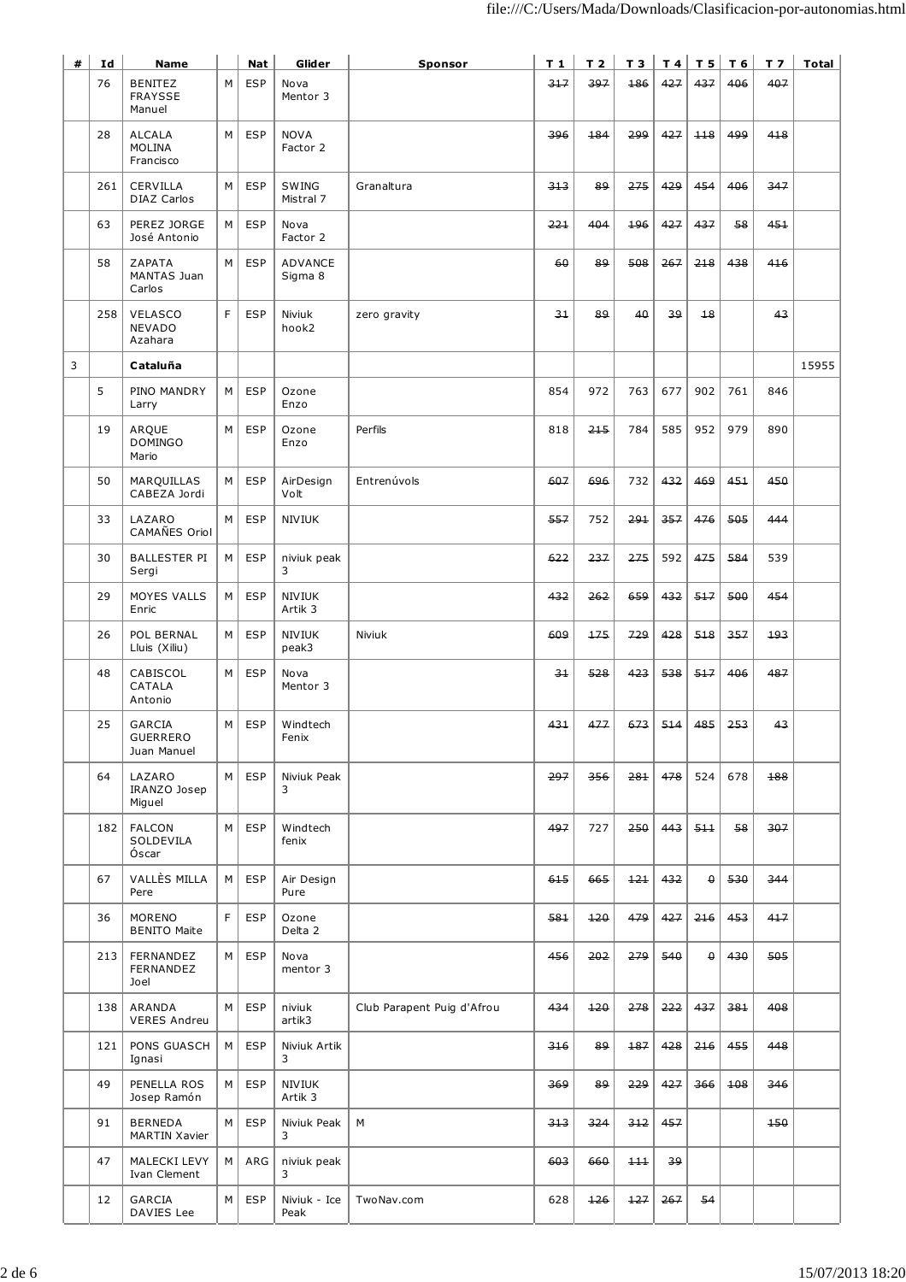| # | Id  | <b>Name</b>                                 |    | <b>Nat</b> | Glider                   | Sponsor                    | T 1  | T <sub>2</sub> | T3  |     | T4 T5    | $T_6$ | T <sub>7</sub> | <b>Total</b> |
|---|-----|---------------------------------------------|----|------------|--------------------------|----------------------------|------|----------------|-----|-----|----------|-------|----------------|--------------|
|   | 76  | <b>BENITEZ</b><br><b>FRAYSSE</b><br>Manuel  | M  | <b>ESP</b> | Nova<br>Mentor 3         |                            | 317  | 397            | 186 | 427 | 437      | 406   | 407            |              |
|   | 28  | <b>ALCALA</b><br><b>MOLINA</b><br>Francisco | M  | ESP        | <b>NOVA</b><br>Factor 2  |                            | 396  | 184            | 299 | 427 | 118      | 499   | 418            |              |
|   | 261 | CERVILLA<br><b>DIAZ Carlos</b>              | м  | <b>ESP</b> | SWING<br>Mistral 7       | Granaltura                 | 313  | 89             | 275 | 429 | 454      | 406   | 347            |              |
|   | 63  | PEREZ JORGE<br>José Antonio                 | M  | <b>ESP</b> | Nova<br>Factor 2         |                            | 221  | 404            | 196 | 427 | 437      | 58    | 451            |              |
|   | 58  | ZAPATA<br>MANTAS Juan<br>Carlos             | M  | <b>ESP</b> | ADVANCE<br>Sigma 8       |                            | 60   | 89             | 508 | 267 | 218      | 438   | 416            |              |
|   | 258 | <b>VELASCO</b><br>NEVADO<br>Azahara         | F. | <b>ESP</b> | Niviuk<br>hook2          | zero gravity               | 31   | 89             | 40  | 39  | $+8$     |       | 43             |              |
| 3 |     | Cataluña                                    |    |            |                          |                            |      |                |     |     |          |       |                | 15955        |
|   | 5   | PINO MANDRY<br>Larry                        | м  | <b>ESP</b> | Ozone<br>Enzo            |                            | 854  | 972            | 763 | 677 | 902      | 761   | 846            |              |
|   | 19  | ARQUE<br><b>DOMINGO</b><br>Mario            | M  | <b>ESP</b> | Ozone<br>Enzo            | Perfils                    | 818  | 215            | 784 | 585 | 952      | 979   | 890            |              |
|   | 50  | MARQUILLAS<br>CABEZA Jordi                  | M  | <b>ESP</b> | AirDesign<br>Volt        | Entrenúvols                | 607  | 696            | 732 | 432 | 469      | 451   | 450            |              |
|   | 33  | LAZARO<br>CAMAÑES Oriol                     | м  | <b>ESP</b> | <b>NIVIUK</b>            |                            | 557  | 752            | 291 | 357 | 476      | 505   | 444            |              |
|   | 30  | <b>BALLESTER PI</b><br>Sergi                | M  | <b>ESP</b> | niviuk peak<br>3         |                            | 622  | 237            | 275 | 592 | 475      | 584   | 539            |              |
|   | 29  | MOYES VALLS<br>Enric                        | M  | <b>ESP</b> | <b>NIVIUK</b><br>Artik 3 |                            | 432  | 262            | 659 | 432 | 517      | 500   | 454            |              |
|   | 26  | POL BERNAL<br>Lluis (Xiliu)                 | M  | <b>ESP</b> | <b>NIVIUK</b><br>peak3   | Niviuk                     | 609  | 175            | 729 | 428 | 518      | 357   | 193            |              |
|   | 48  | CABISCOL<br>CATALA<br>Antonio               | M  | ESP        | Nova<br>Mentor 3         |                            | $3+$ | 528            | 423 | 538 | 517      | 406   | 487            |              |
|   | 25  | GARCIA<br>GUERRERO<br>Juan Manuel           | М  | <b>ESP</b> | Windtech<br>Fenix        |                            | 431  | 477            | 673 | 514 | 485      | 253   | 43             |              |
|   | 64  | LAZARO<br>IRANZO Josep<br>Miguel            | M  | ESP        | Niviuk Peak<br>3         |                            | 297  | 356            | 281 | 478 | 524      | 678   | 188            |              |
|   | 182 | <b>FALCON</b><br>SOLDEVILA<br>Óscar         | M  | <b>ESP</b> | Windtech<br>fenix        |                            | 497  | 727            | 250 | 443 | 511      | 58    | 307            |              |
|   | 67  | VALLÈS MILLA<br>Pere                        | M  | <b>ESP</b> | Air Design<br>Pure       |                            | 615  | 665            | 121 | 432 | $\theta$ | 530   | 344            |              |
|   | 36  | <b>MORENO</b><br><b>BENITO Maite</b>        | F. | <b>ESP</b> | Ozone<br>Delta 2         |                            | 581  | 120            | 479 | 427 | 216      | 453   | 417            |              |
|   | 213 | FERNANDEZ<br>FERNANDEZ<br>Joel              | M  | <b>ESP</b> | Nova<br>mentor 3         |                            | 456  | 202            | 279 | 540 | $\theta$ | 430   | 505            |              |
|   | 138 | ARANDA<br><b>VERES Andreu</b>               | М  | <b>ESP</b> | niviuk<br>artik3         | Club Parapent Puig d'Afrou | 434  | 120            | 278 | 222 | 437      | 381   | 408            |              |
|   | 121 | PONS GUASCH<br>Ignasi                       | M  | <b>ESP</b> | Niviuk Artik<br>3        |                            | 316  | 89             | 187 | 428 | 216      | 455   | 448            |              |
|   | 49  | PENELLA ROS<br>Josep Ramón                  | М  | <b>ESP</b> | NIVIUK<br>Artik 3        |                            | 369  | 89             | 229 | 427 | 366      | 108   | 346            |              |
|   | 91  | <b>BERNEDA</b><br><b>MARTIN Xavier</b>      | м  | <b>ESP</b> | Niviuk Peak<br>3         | M                          | 313  | 324            | 312 | 457 |          |       | 150            |              |
|   | 47  | MALECKI LEVY<br>Ivan Clement                | M  | ARG        | niviuk peak<br>3         |                            | 603  | 660            | 111 | 39  |          |       |                |              |
|   | 12  | GARCIA<br>DAVIES Lee                        | M  | <b>ESP</b> | Niviuk - Ice<br>Peak     | TwoNav.com                 | 628  | 126            | 127 | 267 | 54       |       |                |              |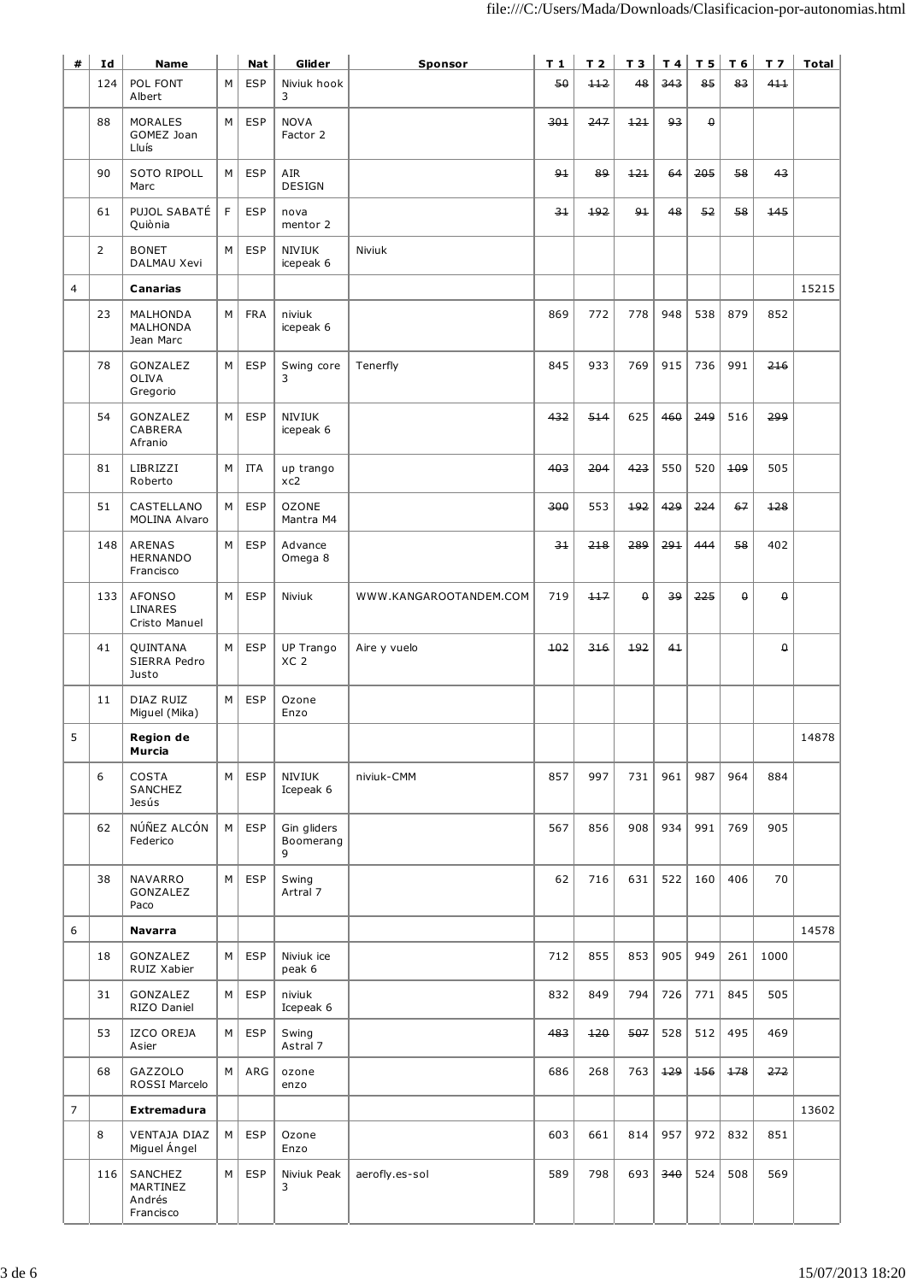| #              | Id             | <b>Name</b>                                   |   | Nat        | Glider                        | Sponsor                | $T_1$ | T <sub>2</sub> | T 3      | T4  | T <sub>5</sub> | T 6      | T <sub>7</sub> | <b>Total</b> |
|----------------|----------------|-----------------------------------------------|---|------------|-------------------------------|------------------------|-------|----------------|----------|-----|----------------|----------|----------------|--------------|
|                | 124            | POL FONT<br>Albert                            | М | <b>ESP</b> | Niviuk hook<br>3              |                        | 50    | 112            | 48       | 343 | 85             | 83       | 411            |              |
|                | 88             | <b>MORALES</b><br>GOMEZ Joan<br>Lluís         | M | <b>ESP</b> | <b>NOVA</b><br>Factor 2       |                        | 301   | 247            | 121      | 93  | $\pmb{\Theta}$ |          |                |              |
|                | 90             | SOTO RIPOLL<br>Marc                           | M | <b>ESP</b> | AIR<br><b>DESIGN</b>          |                        | $9+$  | 89             | $+21$    | 64  | 205            | 58       | 43             |              |
|                | 61             | PUJOL SABATÉ<br>Quiònia                       | F | <b>ESP</b> | nova<br>mentor 2              |                        | 34    | 192            | $9+$     | 48  | 52             | 58       | 445            |              |
|                | $\overline{2}$ | <b>BONET</b><br>DALMAU Xevi                   | M | <b>ESP</b> | <b>NIVIUK</b><br>icepeak 6    | Niviuk                 |       |                |          |     |                |          |                |              |
| $\overline{4}$ |                | Canarias                                      |   |            |                               |                        |       |                |          |     |                |          |                | 15215        |
|                | 23             | MALHONDA<br>MALHONDA<br>Jean Marc             | M | <b>FRA</b> | niviuk<br>icepeak 6           |                        | 869   | 772            | 778      | 948 | 538            | 879      | 852            |              |
|                | 78             | GONZALEZ<br>OLIVA<br>Gregorio                 | м | <b>ESP</b> | Swing core<br>3               | Tenerfly               | 845   | 933            | 769      | 915 | 736            | 991      | 216            |              |
|                | 54             | GONZALEZ<br>CABRERA<br>Afranio                | М | <b>ESP</b> | NIVIUK<br>icepeak 6           |                        | 432   | 514            | 625      | 460 | 249            | 516      | 299            |              |
|                | 81             | LIBRIZZI<br>Roberto                           | M | <b>ITA</b> | up trango<br>xc2              |                        | 403   | 204            | 423      | 550 | 520            | 109      | 505            |              |
|                | 51             | CASTELLANO<br><b>MOLINA Alvaro</b>            | M | <b>ESP</b> | <b>OZONE</b><br>Mantra M4     |                        | 300   | 553            | 192      | 429 | 224            | 67       | $+28$          |              |
|                | 148            | <b>ARENAS</b><br><b>HERNANDO</b><br>Francisco | M | <b>ESP</b> | Advance<br>Omega 8            |                        | 31    | 218            | 289      | 291 | 444            | 58       | 402            |              |
|                | 133            | AFONSO<br>LINARES<br>Cristo Manuel            | м | <b>ESP</b> | Niviuk                        | WWW.KANGAROOTANDEM.COM | 719   | 117            | $\theta$ | 39  | 225            | $\theta$ | $\theta$       |              |
|                | 41             | QUINTANA<br>SIERRA Pedro<br>Justo             | М | <b>ESP</b> | UP Trango<br>XC <sub>2</sub>  | Aire y vuelo           | 102   | 316            | 192      | 41  |                |          | $\theta$       |              |
|                | 11             | DIAZ RUIZ<br>Miguel (Mika)                    | M | <b>ESP</b> | Ozone<br>Enzo                 |                        |       |                |          |     |                |          |                |              |
| 5              |                | Region de<br>Murcia                           |   |            |                               |                        |       |                |          |     |                |          |                | 14878        |
|                | 6              | <b>COSTA</b><br>SANCHEZ<br>Jesús              | M | <b>ESP</b> | <b>NIVIUK</b><br>Icepeak 6    | niviuk-CMM             | 857   | 997            | 731      | 961 | 987            | 964      | 884            |              |
|                | 62             | NÚÑEZ ALCÓN<br>Federico                       | M | <b>ESP</b> | Gin gliders<br>Boomerang<br>9 |                        | 567   | 856            | 908      | 934 | 991            | 769      | 905            |              |
|                | 38             | NAVARRO<br>GONZALEZ<br>Paco                   | M | ESP        | Swing<br>Artral 7             |                        | 62    | 716            | 631      | 522 | 160            | 406      | 70             |              |
| 6              |                | <b>Navarra</b>                                |   |            |                               |                        |       |                |          |     |                |          |                | 14578        |
|                | 18             | GONZALEZ<br>RUIZ Xabier                       | м | <b>ESP</b> | Niviuk ice<br>peak 6          |                        | 712   | 855            | 853      | 905 | 949            | 261      | 1000           |              |
|                | 31             | GONZALEZ<br>RIZO Daniel                       | м | <b>ESP</b> | niviuk<br>Icepeak 6           |                        | 832   | 849            | 794      | 726 | 771            | 845      | 505            |              |
|                | 53             | IZCO OREJA<br>Asier                           | M | <b>ESP</b> | Swing<br>Astral 7             |                        | 483   | $+20$          | 507      | 528 | 512            | 495      | 469            |              |
|                | 68             | GAZZOLO<br>ROSSI Marcelo                      | м | ARG        | ozone<br>enzo                 |                        | 686   | 268            | 763      | 129 | 156            | 178      | 272            |              |
| $\overline{7}$ |                | Extremadura                                   |   |            |                               |                        |       |                |          |     |                |          |                | 13602        |
|                | 8              | VENTAJA DIAZ<br>Miguel Ángel                  | м | <b>ESP</b> | Ozone<br>Enzo                 |                        | 603   | 661            | 814      | 957 | 972            | 832      | 851            |              |
|                | 116            | SANCHEZ<br>MARTINEZ<br>Andrés<br>Francisco    | м | ESP        | Niviuk Peak<br>3              | aerofly.es-sol         | 589   | 798            | 693      | 340 | 524            | 508      | 569            |              |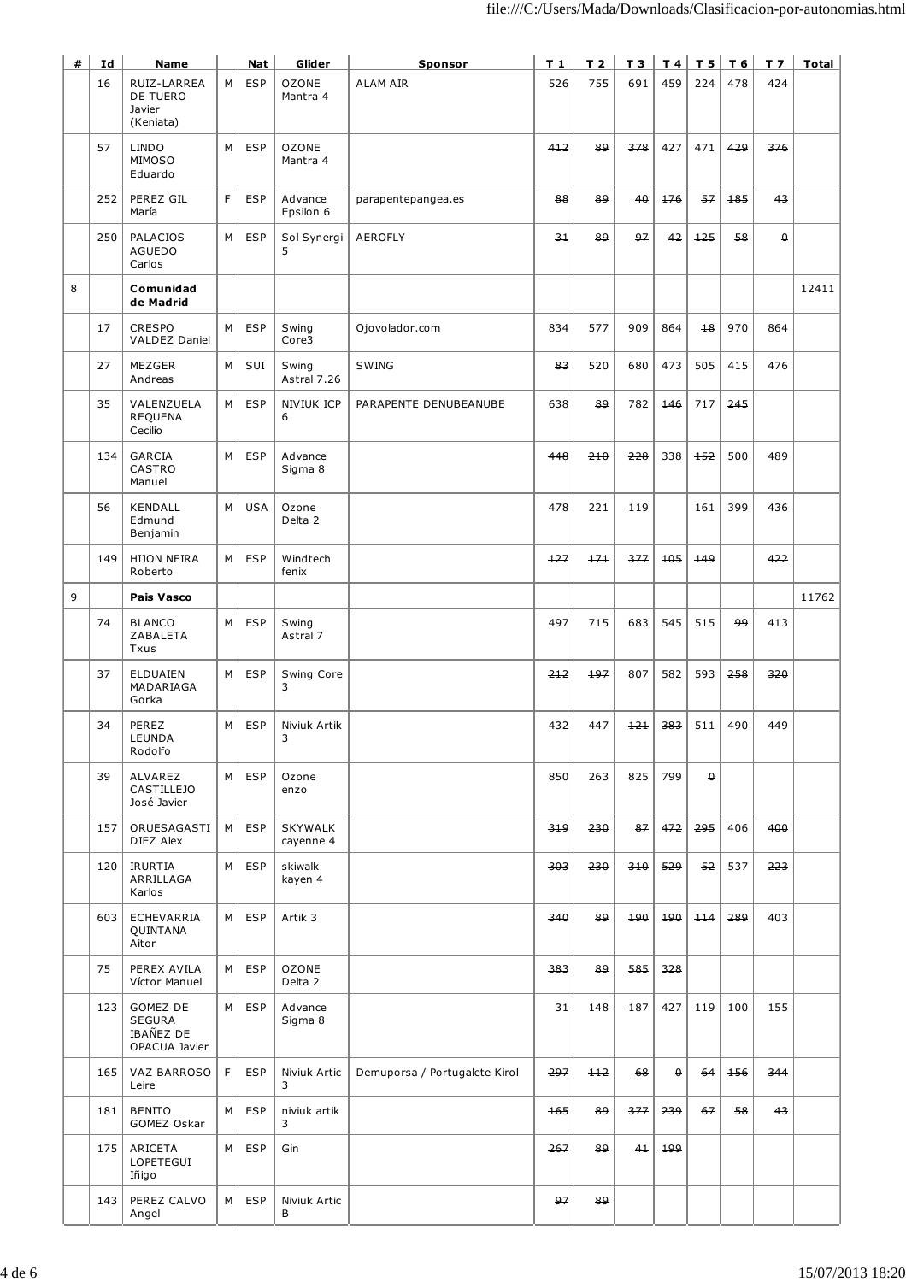| # | Id  | <b>Name</b>                                             |    | Nat        | Glider                      | Sponsor                       | $T_1$ | T <sub>2</sub> | T 3   |          | T4 T5    | T 6 | T <sub>7</sub>    | Total |
|---|-----|---------------------------------------------------------|----|------------|-----------------------------|-------------------------------|-------|----------------|-------|----------|----------|-----|-------------------|-------|
|   | 16  | RUIZ-LARREA<br>DE TUERO<br>Javier<br>(Keniata)          | M  | <b>ESP</b> | <b>OZONE</b><br>Mantra 4    | <b>ALAM AIR</b>               | 526   | 755            | 691   | 459      | 224      | 478 | 424               |       |
|   | 57  | <b>LINDO</b><br><b>MIMOSO</b><br>Eduardo                | M  | <b>ESP</b> | <b>OZONE</b><br>Mantra 4    |                               | 412   | 89             | 378   | 427      | 471      | 429 | 376               |       |
|   | 252 | PEREZ GIL<br>María                                      | F  | <b>ESP</b> | Advance<br>Epsilon 6        | parapentepangea.es            | 88    | 89             | 40    | 176      | 57       | 185 | 43                |       |
|   | 250 | <b>PALACIOS</b><br><b>AGUEDO</b><br>Carlos              | M  | <b>ESP</b> | Sol Synergi<br>5            | AEROFLY                       | 31    | 89             | 97    | 42       | 125      | 58  | $\mathbf{\theta}$ |       |
| 8 |     | Comunidad<br>de Madrid                                  |    |            |                             |                               |       |                |       |          |          |     |                   | 12411 |
|   | 17  | <b>CRESPO</b><br><b>VALDEZ Daniel</b>                   | М  | <b>ESP</b> | Swing<br>Core3              | Ojovolador.com                | 834   | 577            | 909   | 864      | $+8$     | 970 | 864               |       |
|   | 27  | MEZGER<br>Andreas                                       | М  | SUI        | Swing<br>Astral 7.26        | SWING                         | 83    | 520            | 680   | 473      | 505      | 415 | 476               |       |
|   | 35  | VALENZUELA<br><b>REQUENA</b><br>Cecilio                 | M  | ESP        | NIVIUK ICP<br>6             | PARAPENTE DENUBEANUBE         | 638   | 89             | 782   | 146      | 717      | 245 |                   |       |
|   | 134 | GARCIA<br>CASTRO<br>Manuel                              | M  | <b>ESP</b> | Advance<br>Sigma 8          |                               | 448   | 210            | 228   | 338      | $+52$    | 500 | 489               |       |
|   | 56  | KENDALL<br>Edmund<br>Benjamin                           | м  | <b>USA</b> | Ozone<br>Delta 2            |                               | 478   | 221            | 119   |          | 161      | 399 | 436               |       |
|   | 149 | <b>HIJON NEIRA</b><br>Roberto                           | M  | <b>ESP</b> | Windtech<br>fenix           |                               | 127   | 171            | 377   | 105      | 449      |     | 422               |       |
| 9 |     | <b>Pais Vasco</b>                                       |    |            |                             |                               |       |                |       |          |          |     |                   | 11762 |
|   | 74  | <b>BLANCO</b><br>ZABALETA<br>Txus                       | M  | <b>ESP</b> | Swing<br>Astral 7           |                               | 497   | 715            | 683   | 545      | 515      | وو  | 413               |       |
|   | 37  | ELDUAIEN<br>MADARIAGA<br>Gorka                          | м  | <b>ESP</b> | Swing Core<br>3             |                               | 212   | 197            | 807   | 582      | 593      | 258 | 320               |       |
|   | 34  | PEREZ<br>LEUNDA<br>Rodolfo                              | М  | <b>ESP</b> | Niviuk Artik<br>J           |                               | 432   | 447            | $+21$ | 383      | 511      | 490 | 449               |       |
|   | 39  | ALVAREZ<br><b>CASTILLEJO</b><br>José Javier             | м  | <b>ESP</b> | Ozone<br>enzo               |                               | 850   | 263            | 825   | 799      | $\theta$ |     |                   |       |
|   | 157 | ORUESAGASTI<br>DIEZ Alex                                | М  | <b>ESP</b> | <b>SKYWALK</b><br>cayenne 4 |                               | 319   | 230            | 87    | 472      | 295      | 406 | 400               |       |
|   | 120 | <b>IRURTIA</b><br>ARRILLAGA<br>Karlos                   | М  | <b>ESP</b> | skiwalk<br>kayen 4          |                               | 303   | 230            | 310   | 529      | 52       | 537 | 223               |       |
|   | 603 | ECHEVARRIA<br>QUINTANA<br>Aitor                         | M  | ESP        | Artik 3                     |                               | 340   | 89             | 190   | 190      | $+14$    | 289 | 403               |       |
|   | 75  | PEREX AVILA<br>Víctor Manuel                            | М  | <b>ESP</b> | <b>OZONE</b><br>Delta 2     |                               | 383   | 89             | 585   | 328      |          |     |                   |       |
|   | 123 | GOMEZ DE<br><b>SEGURA</b><br>IBAÑEZ DE<br>OPACUA Javier | М  | <b>ESP</b> | Advance<br>Sigma 8          |                               | $3+$  | 148            | 187   | 427      | 449      | 100 | 155               |       |
|   | 165 | VAZ BARROSO<br>Leire                                    | F. | ESP        | Niviuk Artic<br>3           | Demuporsa / Portugalete Kirol | 297   | 112            | 68    | $\theta$ | 64       | 156 | 344               |       |
|   | 181 | <b>BENITO</b><br>GOMEZ Oskar                            | М  | <b>ESP</b> | niviuk artik<br>3           |                               | 165   | 89             | 377   | 239      | 67       | 58  | 43                |       |
|   | 175 | ARICETA<br>LOPETEGUI<br>Iñigo                           | м  | <b>ESP</b> | Gin                         |                               | 267   | 89             | 41    | 199      |          |     |                   |       |
|   | 143 | PEREZ CALVO<br>Angel                                    | M  | <b>ESP</b> | Niviuk Artic<br>В           |                               | 97    | 89             |       |          |          |     |                   |       |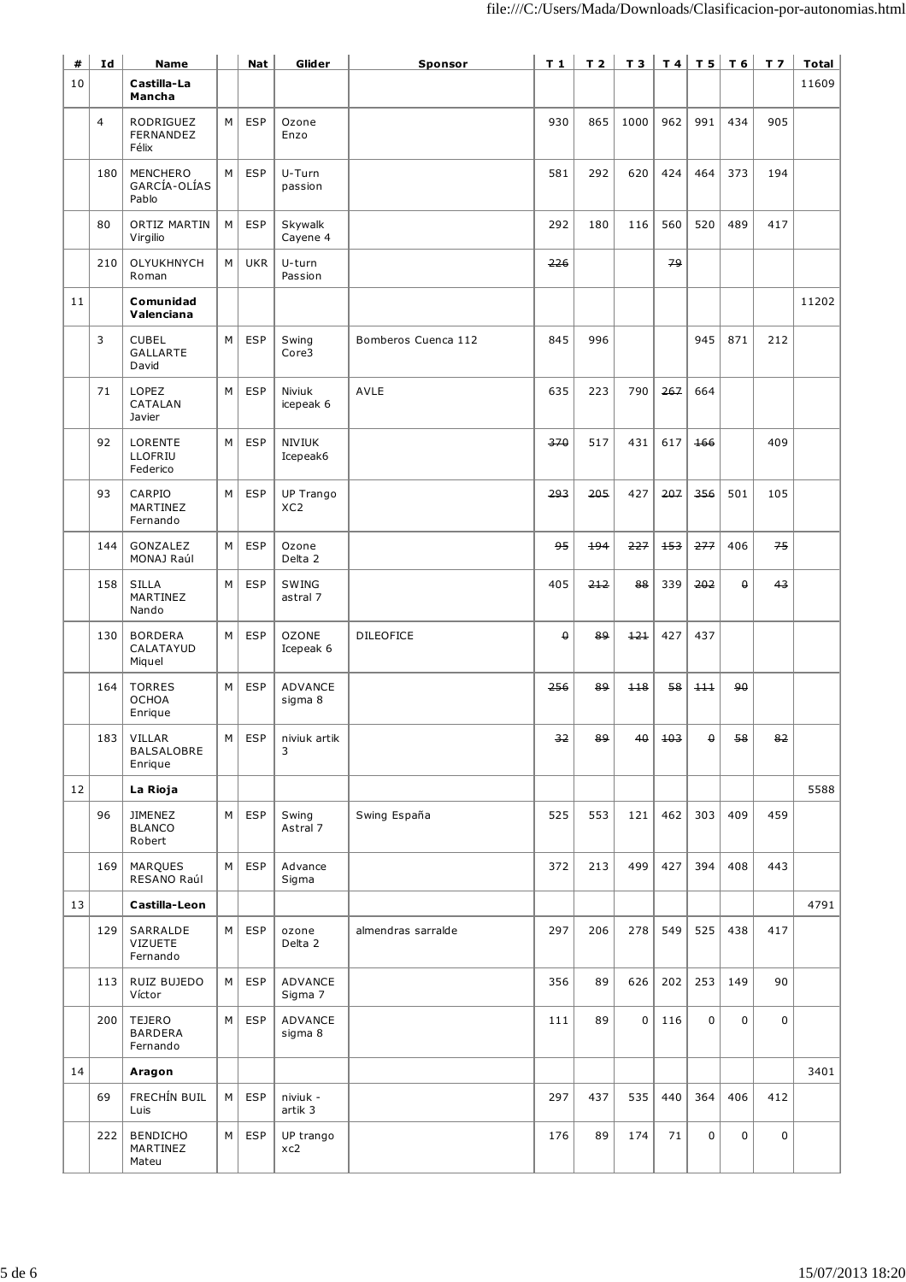| #  | Id             | <b>Name</b>                                  |   | <b>Nat</b> | Glider                       | Sponsor             | T <sub>1</sub> | T <sub>2</sub> | T 3  | T4     | T 5      | T <sub>6</sub> | T <sub>7</sub> | Total |
|----|----------------|----------------------------------------------|---|------------|------------------------------|---------------------|----------------|----------------|------|--------|----------|----------------|----------------|-------|
| 10 |                | Castilla-La<br>Mancha                        |   |            |                              |                     |                |                |      |        |          |                |                | 11609 |
|    | $\overline{4}$ | RODRIGUEZ<br>FERNANDEZ<br>Félix              | М | <b>ESP</b> | Ozone<br>Enzo                |                     | 930            | 865            | 1000 | 962    | 991      | 434            | 905            |       |
|    | 180            | MENCHERO<br>GARCÍA-OLÍAS<br>Pablo            | М | <b>ESP</b> | U-Turn<br>passion            |                     | 581            | 292            | 620  | 424    | 464      | 373            | 194            |       |
|    | 80             | <b>ORTIZ MARTIN</b><br>Virgilio              | M | <b>ESP</b> | Skywalk<br>Cayene 4          |                     | 292            | 180            | 116  | 560    | 520      | 489            | 417            |       |
|    | 210            | OLYUKHNYCH<br>Roman                          | M | <b>UKR</b> | U-turn<br>Passion            |                     | 226            |                |      | 79     |          |                |                |       |
| 11 |                | Comunidad<br>Valenciana                      |   |            |                              |                     |                |                |      |        |          |                |                | 11202 |
|    | 3              | <b>CUBEL</b><br><b>GALLARTE</b><br>David     | М | <b>ESP</b> | Swing<br>Core3               | Bomberos Cuenca 112 | 845            | 996            |      |        | 945      | 871            | 212            |       |
|    | 71             | LOPEZ<br>CATALAN<br>Javier                   | М | <b>ESP</b> | Niviuk<br>icepeak 6          | AVLE                | 635            | 223            | 790  | 267    | 664      |                |                |       |
|    | 92             | LORENTE<br>LLOFRIU<br>Federico               | М | <b>ESP</b> | <b>NIVIUK</b><br>Icepeak6    |                     | 370            | 517            | 431  | 617    | 166      |                | 409            |       |
|    | 93             | CARPIO<br>MARTINEZ<br>Fernando               | M | <b>ESP</b> | UP Trango<br>XC <sub>2</sub> |                     | 293            | 205            | 427  | 207    | 356      | 501            | 105            |       |
|    | 144            | GONZALEZ<br>MONAJ Raúl                       | М | <b>ESP</b> | Ozone<br>Delta 2             |                     | 95             | 194            | 227  | 153    | 277      | 406            | 75             |       |
|    | 158            | <b>SILLA</b><br>MARTINEZ<br>Nando            | М | <b>ESP</b> | SWING<br>astral 7            |                     | 405            | 212            | 88   | 339    | 202      | $\theta$       | 43             |       |
|    | 130            | <b>BORDERA</b><br>CALATAYUD<br>Miquel        | M | <b>ESP</b> | <b>OZONE</b><br>Icepeak 6    | <b>DILEOFICE</b>    | $\theta$       | 89             | 121  | 427    | 437      |                |                |       |
|    | 164            | <b>TORRES</b><br><b>OCHOA</b><br>Enrique     | М | <b>ESP</b> | ADVANCE<br>sigma 8           |                     | 256            | 89             | 118  | 58     | 111      | ٩θ             |                |       |
|    |                | $183$ VILLAR<br><b>BALSALOBRE</b><br>Enrique | М | ESP        | niviuk artik<br>3            |                     | 32             | 89             | 40   | $+0.3$ | $\theta$ | 58             | 82             |       |
| 12 |                | La Rioja                                     |   |            |                              |                     |                |                |      |        |          |                |                | 5588  |
|    | 96             | <b>JIMENEZ</b><br><b>BLANCO</b><br>Robert    | М | <b>ESP</b> | Swing<br>Astral 7            | Swing España        | 525            | 553            | 121  | 462    | 303      | 409            | 459            |       |
|    | 169            | MARQUES<br>RESANO Raúl                       | M | <b>ESP</b> | Advance<br>Sigma             |                     | 372            | 213            | 499  | 427    | 394      | 408            | 443            |       |
| 13 |                | Castilla-Leon                                |   |            |                              |                     |                |                |      |        |          |                |                | 4791  |
|    | 129            | SARRALDE<br><b>VIZUETE</b><br>Fernando       | M | ESP        | ozone<br>Delta 2             | almendras sarralde  | 297            | 206            | 278  | 549    | 525      | 438            | 417            |       |
|    | 113            | RUIZ BUJEDO<br>Víctor                        | М | <b>ESP</b> | ADVANCE<br>Sigma 7           |                     | 356            | 89             | 626  | 202    | 253      | 149            | 90             |       |
|    | 200            | TEJERO<br><b>BARDERA</b><br>Fernando         | М | <b>ESP</b> | ADVANCE<br>sigma 8           |                     | 111            | 89             | 0    | 116    | 0        | $\mathbf 0$    | 0              |       |
| 14 |                | Aragon                                       |   |            |                              |                     |                |                |      |        |          |                |                | 3401  |
|    | 69             | FRECHÍN BUIL<br>Luis                         | М | <b>ESP</b> | niviuk -<br>artik 3          |                     | 297            | 437            | 535  | 440    | 364      | 406            | 412            |       |
|    | 222            | <b>BENDICHO</b><br>MARTINEZ<br>Mateu         | М | <b>ESP</b> | UP trango<br>xc2             |                     | 176            | 89             | 174  | 71     | 0        | $\mathbf 0$    | $\mathbf 0$    |       |